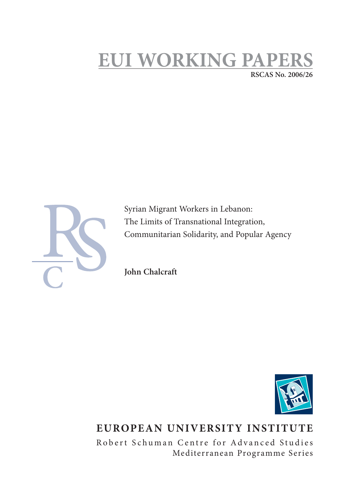# **EUI WORKING PAPI RSCAS No. 2006/26**



Syrian Migrant Workers in Lebanon: The Limits of Transnational Integration, Communitarian Solidarity, and Popular Agency

**John Chalcraft**



# **EUROPEAN UNIVERSITY INSTITUTE**

Robert Schuman Centre for Advanced Studies Mediterranean Programme Series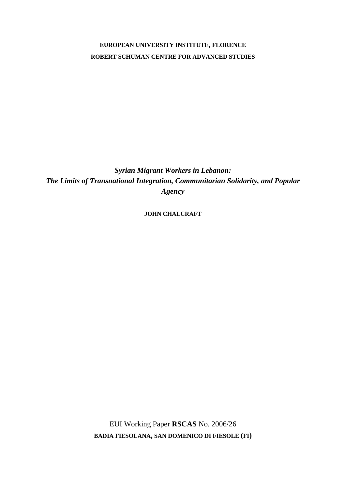# **EUROPEAN UNIVERSITY INSTITUTE, FLORENCE ROBERT SCHUMAN CENTRE FOR ADVANCED STUDIES**

*Syrian Migrant Workers in Lebanon: The Limits of Transnational Integration, Communitarian Solidarity, and Popular Agency* 

**JOHN CHALCRAFT**

EUI Working Paper **RSCAS** No. 2006/26 **BADIA FIESOLANA, SAN DOMENICO DI FIESOLE (FI)**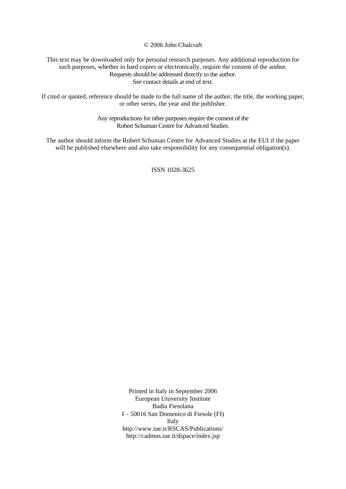© 2006 John Chalcraft

This text may be downloaded only for personal research purposes. Any additional reproduction for such purposes, whether in hard copies or electronically, require the consent of the author. Requests should be addressed directly to the author. See contact details at end of text.

If cited or quoted, reference should be made to the full name of the author, the title, the working paper, or other series, the year and the publisher.

> Any reproductions for other purposes require the consent of the Robert Schuman Centre for Advanced Studies.

The author should inform the Robert Schuman Centre for Advanced Studies at the EUI if the paper will be published elsewhere and also take responsibility for any consequential obligation(s).

ISSN 1028-3625

Printed in Italy in September 2006 European University Institute Badia Fiesolana I – 50016 San Domenico di Fiesole (FI) Italy http://www.iue.it/RSCAS/Publications/ http://cadmus.iue.it/dspace/index.jsp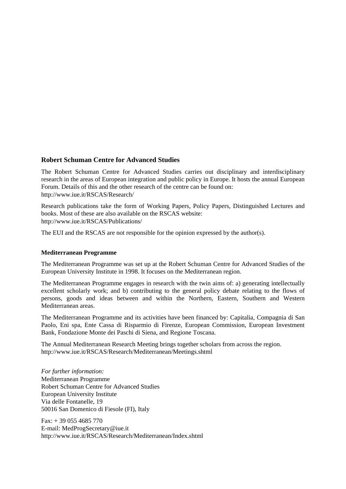## **Robert Schuman Centre for Advanced Studies**

The Robert Schuman Centre for Advanced Studies carries out disciplinary and interdisciplinary research in the areas of European integration and public policy in Europe. It hosts the annual European Forum. Details of this and the other research of the centre can be found on: http://www.iue.it/RSCAS/Research/

Research publications take the form of Working Papers, Policy Papers, Distinguished Lectures and books. Most of these are also available on the RSCAS website: http://www.iue.it/RSCAS/Publications/

The EUI and the RSCAS are not responsible for the opinion expressed by the author(s).

### **Mediterranean Programme**

The Mediterranean Programme was set up at the Robert Schuman Centre for Advanced Studies of the European University Institute in 1998. It focuses on the Mediterranean region.

The Mediterranean Programme engages in research with the twin aims of: a) generating intellectually excellent scholarly work; and b) contributing to the general policy debate relating to the flows of persons, goods and ideas between and within the Northern, Eastern, Southern and Western Mediterranean areas.

The Mediterranean Programme and its activities have been financed by: Capitalia, Compagnia di San Paolo, Eni spa, Ente Cassa di Risparmio di Firenze, European Commission, European Investment Bank, Fondazione Monte dei Paschi di Siena, and Regione Toscana.

The Annual Mediterranean Research Meeting brings together scholars from across the region. http://www.iue.it/RSCAS/Research/Mediterranean/Meetings.shtml

*For further information:*  Mediterranean Programme Robert Schuman Centre for Advanced Studies European University Institute Via delle Fontanelle, 19 50016 San Domenico di Fiesole (FI), Italy

 $Fax: + 390554685770$ E-mail: MedProgSecretary@iue.it http://www.iue.it/RSCAS/Research/Mediterranean/Index.shtml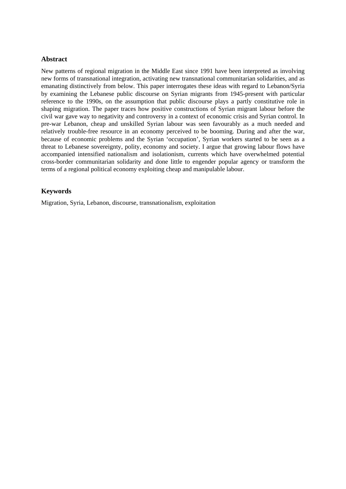### **Abstract**

New patterns of regional migration in the Middle East since 1991 have been interpreted as involving new forms of transnational integration, activating new transnational communitarian solidarities, and as emanating distinctively from below. This paper interrogates these ideas with regard to Lebanon/Syria by examining the Lebanese public discourse on Syrian migrants from 1945-present with particular reference to the 1990s, on the assumption that public discourse plays a partly constitutive role in shaping migration. The paper traces how positive constructions of Syrian migrant labour before the civil war gave way to negativity and controversy in a context of economic crisis and Syrian control. In pre-war Lebanon, cheap and unskilled Syrian labour was seen favourably as a much needed and relatively trouble-free resource in an economy perceived to be booming. During and after the war, because of economic problems and the Syrian 'occupation', Syrian workers started to be seen as a threat to Lebanese sovereignty, polity, economy and society. I argue that growing labour flows have accompanied intensified nationalism and isolationism, currents which have overwhelmed potential cross-border communitarian solidarity and done little to engender popular agency or transform the terms of a regional political economy exploiting cheap and manipulable labour.

# **Keywords**

Migration, Syria, Lebanon, discourse, transnationalism, exploitation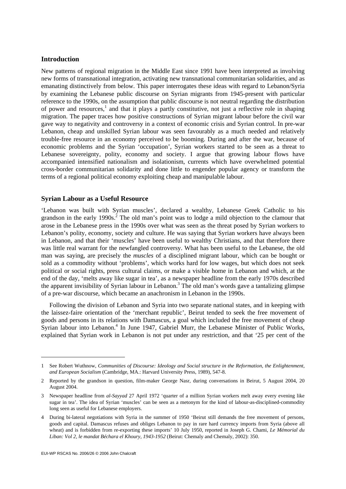### **Introduction**

New patterns of regional migration in the Middle East since 1991 have been interpreted as involving new forms of transnational integration, activating new transnational communitarian solidarities, and as emanating distinctively from below. This paper interrogates these ideas with regard to Lebanon/Syria by examining the Lebanese public discourse on Syrian migrants from 1945-present with particular reference to the 1990s, on the assumption that public discourse is not neutral regarding the distribution of power and resources,<sup>1</sup> and that it plays a partly constitutive, not just a reflective role in shaping migration. The paper traces how positive constructions of Syrian migrant labour before the civil war gave way to negativity and controversy in a context of economic crisis and Syrian control. In pre-war Lebanon, cheap and unskilled Syrian labour was seen favourably as a much needed and relatively trouble-free resource in an economy perceived to be booming. During and after the war, because of economic problems and the Syrian 'occupation', Syrian workers started to be seen as a threat to Lebanese sovereignty, polity, economy and society. I argue that growing labour flows have accompanied intensified nationalism and isolationism, currents which have overwhelmed potential cross-border communitarian solidarity and done little to engender popular agency or transform the terms of a regional political economy exploiting cheap and manipulable labour.

#### **Syrian Labour as a Useful Resource**

'Lebanon was built with Syrian muscles', declared a wealthy, Lebanese Greek Catholic to his grandson in the early 1990s.<sup>2</sup> The old man's point was to lodge a mild objection to the clamour that arose in the Lebanese press in the 1990s over what was seen as the threat posed by Syrian workers to Lebanon's polity, economy, society and culture. He was saying that Syrian workers have always been in Lebanon, and that their 'muscles' have been useful to wealthy Christians, and that therefore there was little real warrant for the newfangled controversy. What has been useful to the Lebanese, the old man was saying, are precisely the *muscles* of a disciplined migrant labour, which can be bought or sold as a commodity without 'problems', which works hard for low wages, but which does not seek political or social rights, press cultural claims, or make a visible home in Lebanon and which, at the end of the day, 'melts away like sugar in tea', as a newspaper headline from the early 1970s described the apparent invisibility of Syrian labour in Lebanon.<sup>3</sup> The old man's words gave a tantalizing glimpse of a pre-war discourse, which became an anachronism in Lebanon in the 1990s.

Following the division of Lebanon and Syria into two separate national states, and in keeping with the laissez-faire orientation of the 'merchant republic', Beirut tended to seek the free movement of goods and persons in its relations with Damascus, a goal which included the free movement of cheap Syrian labour into Lebanon.<sup>4</sup> In June 1947, Gabriel Murr, the Lebanese Minister of Public Works, explained that Syrian work in Lebanon is not put under any restriction, and that '25 per cent of the

<sup>1</sup> See Robert Wuthnow, *Communities of Discourse: Ideology and Social structure in the Reformation, the Enlightenment, and European Socialism* (Cambridge, MA.: Harvard University Press, 1989), 547-8.

<sup>2</sup> Reported by the grandson in question, film-maker George Nasr, during conversations in Beirut, 5 August 2004, 20 August 2004.

<sup>3</sup> Newspaper headline from *al-Sayyad* 27 April 1972 'quarter of a million Syrian workers melt away every evening like sugar in tea'. The idea of Syrian 'muscles' can be seen as a metonym for the kind of labour-as-disciplined-commodity long seen as useful for Lebanese employers.

<sup>4</sup> During bi-lateral negotiations with Syria in the summer of 1950 'Beirut still demands the free movement of persons, goods and capital. Damascus refuses and obliges Lebanon to pay in rare hard currency imports from Syria (above all wheat) and is forbidden from re-exporting these imports' 10 July 1950, reported in Joseph G. Chami, *Le Mémorial du Liban: Vol 2, le mandat Béchara el Khoury, 1943-1952* (Beirut: Chemaly and Chemaly, 2002): 350.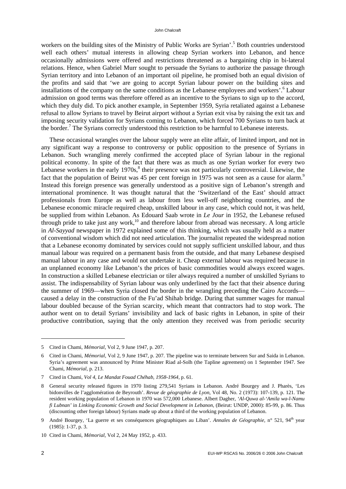workers on the building sites of the Ministry of Public Works are Syrian'.<sup>5</sup> Both countries understood well each others' mutual interests in allowing cheap Syrian workers into Lebanon, and hence occasionally admissions were offered and restrictions threatened as a bargaining chip in bi-lateral relations. Hence, when Gabriel Murr sought to persuade the Syrians to authorize the passage through Syrian territory and into Lebanon of an important oil pipeline, he promised both an equal division of the profits and said that 'we are going to accept Syrian labour power on the building sites and installations of the company on the same conditions as the Lebanese employees and workers'.<sup>6</sup> Labour admission on good terms was therefore offered as an incentive to the Syrians to sign up to the accord, which they duly did. To pick another example, in September 1959, Syria retaliated against a Lebanese refusal to allow Syrians to travel by Beirut airport without a Syrian exit visa by raising the exit tax and imposing security validation for Syrians coming to Lebanon, which forced 700 Syrians to turn back at the border.<sup>7</sup> The Syrians correctly understood this restriction to be harmful to Lebanese interests.

These occasional wrangles over the labour supply were an elite affair, of limited import, and not in any significant way a response to controversy or public opposition to the presence of Syrians in Lebanon. Such wrangling merely confirmed the accepted place of Syrian labour in the regional political economy. In spite of the fact that there was as much as one Syrian worker for every two Lebanese workers in the early  $1970s$ ,<sup>8</sup> their presence was not particularly controversial. Likewise, the fact that the population of Beirut was 45 per cent foreign in 1975 was not seen as a cause for alarm.<sup>9</sup> Instead this foreign presence was generally understood as a positive sign of Lebanon's strength and international prominence. It was thought natural that the 'Switzerland of the East' should attract professionals from Europe as well as labour from less well-off neighboring countries, and the Lebanese economic miracle required cheap, unskilled labour in any case, which could not, it was held, be supplied from within Lebanon. As Edouard Saab wrote in *Le Jour* in 1952, the Lebanese refused through pride to take just any work, $10$  and therefore labour from abroad was necessary. A long article in *Al-Sayyad* newspaper in 1972 explained some of this thinking, which was usually held as a matter of conventional wisdom which did not need articulation. The journalist repeated the widespread notion that a Lebanese economy dominated by services could not supply sufficient unskilled labour, and thus manual labour was required on a permanent basis from the outside, and that many Lebanese despised manual labour in any case and would not undertake it. Cheap external labour was required because in an unplanned economy like Lebanon's the prices of basic commodities would always exceed wages. In construction a skilled Lebanese electrician or tiler always required a number of unskilled Syrians to assist. The indispensability of Syrian labour was only underlined by the fact that their absence during the summer of 1969—when Syria closed the border in the wrangling preceding the Cairo Accords caused a delay in the construction of the Fu'ad Shihab bridge. During that summer wages for manual labour doubled because of the Syrian scarcity, which meant that contractors had to stop work. The author went on to detail Syrians' invisibility and lack of basic rights in Lebanon, in spite of their productive contribution, saying that the only attention they received was from periodic security

-

<sup>5</sup> Cited in Chami, *Mémorial,* Vol 2, 9 June 1947, p. 207.

<sup>6</sup> Cited in Chami, *Mémorial,* Vol 2, 9 June 1947, p. 207. The pipeline was to terminate between Sur and Saida in Lebanon. Syria's agreement was announced by Prime Minister Riad al-Solh (the Tapline agreement) on 1 September 1947. See Chami, *Mémorial,* p. 213.

<sup>7</sup> Cited in Chami, *Vol 4, Le Mandat Fouad Chéhab, 1958-1964,* p. 61.

<sup>8</sup> General security released figures in 1970 listing 279,541 Syrians in Lebanon. André Bourgey and J. Pharès, 'Les bidonvilles de l'agglomération de Beyrouth'. *Revue de géographie de Lyon*, Vol 48, No. 2 (1973): 107-139, p. 121. The resident working population of Lebanon in 1970 was 572,000 Lebanese. Albert Dagher, *'Al-Quwa al-'Amila wa-l-Namu fi Lubnan'* in *Linking Economic Growth and Social Development in Lebanon,* (Beirut: UNDP, 2000): 85-99, p. 86. Thus (discounting other foreign labour) Syrians made up about a third of the working population of Lebanon.

<sup>9</sup> André Bourgey, 'La guerre et ses conséquences géographiques au Liban'. *Annales de Géographie,* n° 521, 94th year (1985): 1-37, p. 3.

<sup>10</sup> Cited in Chami, *Mémorial,* Vol 2, 24 May 1952, p. 433.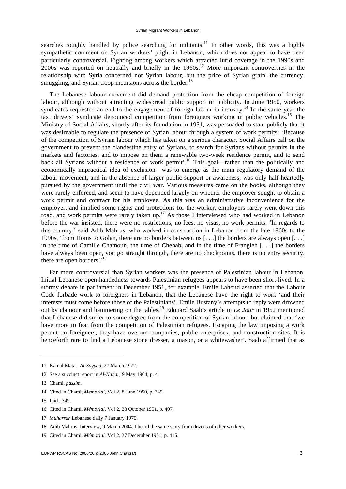searches roughly handled by police searching for militants.<sup>11</sup> In other words, this was a highly sympathetic comment on Syrian workers' plight in Lebanon, which does not appear to have been particularly controversial. Fighting among workers which attracted lurid coverage in the 1990s and 2000s was reported on neutrally and briefly in the 1960s.12 More important controversies in the relationship with Syria concerned not Syrian labour, but the price of Syrian grain, the currency, smuggling, and Syrian troop incursions across the border.<sup>13</sup>

The Lebanese labour movement did demand protection from the cheap competition of foreign labour, although without attracting widespread public support or publicity. In June 1950, workers syndicates requested an end to the engagement of foreign labour in industry.<sup>14</sup> In the same year the taxi drivers' syndicate denounced competition from foreigners working in public vehicles.15 The Ministry of Social Affairs, shortly after its foundation in 1951, was persuaded to state publicly that it was desireable to regulate the presence of Syrian labour through a system of work permits: 'Because of the competition of Syrian labour which has taken on a serious character, Social Affairs call on the government to prevent the clandestine entry of Syrians, to search for Syrians without permits in the markets and factories, and to impose on them a renewable two-week residence permit, and to send back all Syrians without a residence or work permit'.<sup>16</sup> This goal—rather than the politically and economically impractical idea of exclusion—was to emerge as the main regulatory demand of the labour movement, and in the absence of larger public support or awareness, was only half-heartedly pursued by the government until the civil war. Various measures came on the books, although they were rarely enforced, and seem to have depended largely on whether the employer sought to obtain a work permit and contract for his employee. As this was an administrative inconvenience for the employer, and implied some rights and protections for the worker, employers rarely went down this road, and work permits were rarely taken up.<sup>17</sup> As those I interviewed who had worked in Lebanon before the war insisted, there were no restrictions, no fees, no visas, no work permits: 'In regards to this country,' said Adib Mahrus, who worked in construction in Lebanon from the late 1960s to the 1990s, 'from Homs to Golan, there are no borders between us [. . .] the borders are always open [. . .] in the time of Camille Chamoun, the time of Chehab, and in the time of Frangieh [. . .] the borders have always been open, you go straight through, there are no checkpoints, there is no entry security, there are open borders!'<sup>18</sup>

Far more controversial than Syrian workers was the presence of Palestinian labour in Lebanon. Initial Lebanese open-handedness towards Palestinian refugees appears to have been short-lived. In a stormy debate in parliament in December 1951, for example, Emile Lahoud asserted that the Labour Code forbade work to foreigners in Lebanon, that the Lebanese have the right to work 'and their interests must come before those of the Palestinians'. Emile Bustany's attempts to reply were drowned out by clamour and hammering on the tables.19 Edouard Saab's article in *Le Jour* in 1952 mentioned that Lebanese did suffer to some degree from the competition of Syrian labour, but claimed that 'we have more to fear from the competition of Palestinian refugees. Escaping the law imposing a work permit on foreigners, they have overrun companies, public enterprises, and construction sites. It is henceforth rare to find a Lebanese stone dresser, a mason, or a whitewasher'. Saab affirmed that as

<sup>11</sup> Kamal Matar, *Al-Sayyad,* 27 March 1972.

<sup>12</sup> See a succinct report in *Al-Nahar,* 9 May 1964, p. 4.

<sup>13</sup> Chami, *passim.* 

<sup>14</sup> Cited in Chami, *Mémorial,* Vol 2, 8 June 1950, p. 345.

<sup>15</sup> Ibid., 349.

<sup>16</sup> Cited in Chami, *Mémorial,* Vol 2, 28 October 1951, p. 407.

<sup>17</sup> *Muharrar* Lebanese daily 7 January 1975.

<sup>18</sup> Adib Mahrus, Interview, 9 March 2004. I heard the same story from dozens of other workers.

<sup>19</sup> Cited in Chami, *Mémorial,* Vol 2, 27 December 1951, p. 415.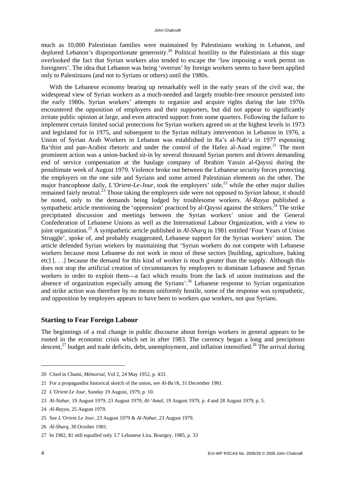much as 10,000 Palestinian families were maintained by Palestinians working in Lebanon, and deplored Lebanon's disproportionate generosity.<sup>20</sup> Political hostility to the Palestinians at this stage overlooked the fact that Syrian workers also tended to escape the 'law imposing a work permit on foreigners'. The idea that Lebanon was being 'overrun' by foreign workers seems to have been applied only to Palestinians (and not to Syrians or others) until the 1980s.

With the Lebanese economy bearing up remarkably well in the early years of the civil war, the widespread view of Syrian workers as a much-needed and largely trouble-free resource persisted into the early 1980s. Syrian workers' attempts to organize and acquire rights during the late 1970s encountered the opposition of employers and their supporters, but did not appear to significantly irritate public opinion at large, and even attracted support from some quarters. Following the failure to implement certain limited social protections for Syrian workers agreed on at the highest levels in 1973 and legislated for in 1975, and subsequent to the Syrian military intervention in Lebanon in 1976, a Union of Syrian Arab Workers in Lebanon was established in Ra's al-Nab'a in 1977 espousing Ba'thist and pan-Arabist rhetoric and under the control of the Hafez al-Asad regime.<sup>21</sup> The most prominent action was a union-backed sit-in by several thousand Syrian porters and drivers demanding end of service compensation at the haulage company of Ibrahim Yassin al-Qayssi during the penultimate week of August 1979. Violence broke out between the Lebanese security forces protecting the employers on the one side and Syrians and some armed Palestinian elements on the other. The major francophone daily, *L'Orient-Le-Jour*, took the employers' side,<sup>22</sup> while the other major dailies remained fairly neutral.<sup>23</sup> Those taking the employers side were not opposed to *Syrian* labour, it should be noted, only to the demands being lodged by troublesome workers. *Al-Rayya* published a sympathetic article mentioning the 'oppression' practiced by al-Oayssi against the strikers.<sup>24</sup> The strike precipitated discussion and meetings between the Syrian workers' union and the General Confederation of Lebanese Unions as well as the International Labour Organization, with a view to joint organization.25 A sympathetic article published in *Al-Sharq* in 1981 entitled 'Four Years of Union Struggle', spoke of, and probably exaggerated, Lebanese support for the Syrian workers' union. The article defended Syrian workers by maintaining that 'Syrian workers do not compete with Lebanese workers because most Lebanese do not work in most of these sectors [building, agriculture, baking etc] [. . .] because the demand for this kind of worker is much greater than the supply. Although this does not stop the artificial creation of circumstances by employers to dominate Lebanese and Syrian workers in order to exploit them—a fact which results from the lack of union institutions and the absence of organization especially among the Syrians'.26 Lebanese response to Syrian organization and strike action was therefore by no means uniformly hostile, some of the response was sympathetic, and opposition by employers appears to have been to workers *qua* workers, not *qua* Syrians.

### **Starting to Fear Foreign Labour**

The beginnings of a real change in public discourse about foreign workers in general appears to be rooted in the economic crisis which set in after 1983. The currency began a long and precipitous descent,<sup>27</sup> budget and trade deficits, debt, unemployment, and inflation intensified.<sup>28</sup> The arrival during

<sup>20</sup> Cited in Chami, *Mémorial,* Vol 2, 24 May 1952, p. 433.

<sup>21</sup> For a propagandist historical sketch of the union, see *Al-Ba'th,* 31 December 1981.

<sup>22</sup> *L'Orient Le Jour,* Sunday 19 August, 1979, p. 10.

<sup>23</sup> *Al-Nahar,* 19 August 1979, 23 August 1979; *Al-'Amal,* 19 August 1979, p. 4 and 28 August 1979, p. 5.

<sup>24</sup> *Al-Rayya,* 25 August 1979.

<sup>25</sup> See *L'Orient Le Jour,* 23 August 1979 & *Al-Nahar,* 23 August 1979.

<sup>26</sup> *Al-Sharq,* 30 October 1981.

<sup>27</sup> In 1982, \$1 still equalled only 3.7 Lebanese Lira. Bourgey, 1985, p. 33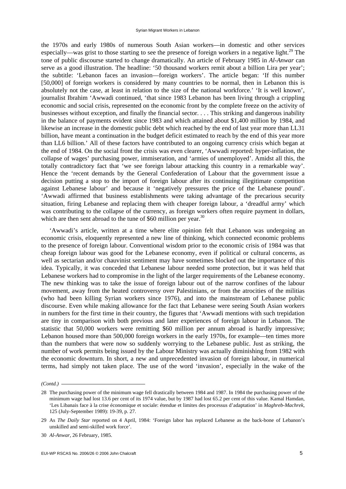the 1970s and early 1980s of numerous South Asian workers—in domestic and other services especially—was grist to those starting to see the presence of foreign workers in a negative light.<sup>29</sup> The tone of public discourse started to change dramatically. An article of February 1985 in *Al-Anwar* can serve as a good illustration. The headline: '50 thousand workers remit about a billion Lira per year'; the subtitle: 'Lebanon faces an invasion—foreign workers'. The article began: 'If this number [50,000] of foreign workers is considered by many countries to be normal, then in Lebanon this is absolutely not the case, at least in relation to the size of the national workforce.' 'It is well known', journalist Ibrahim 'Awwadi continued, 'that since 1983 Lebanon has been living through a crippling economic and social crisis, represented on the economic front by the complete freeze on the activity of businesses without exception, and finally the financial sector. . . . This striking and dangerous inability in the balance of payments evident since 1983 and which attained about \$1,400 million by 1984, and likewise an increase in the domestic public debt which reached by the end of last year more than LL31 billion, have meant a continuation in the budget deficit estimated to reach by the end of this year more than LL6 billion.' All of these factors have contributed to an ongoing currency crisis which began at the end of 1984. On the social front the crisis was even clearer, 'Awwadi reported: hyper-inflation, the collapse of wages' purchasing power, immiseration, and 'armies of unemployed'. Amidst all this, the totally contradictory fact that 'we see foreign labour attacking this country in a remarkable way'. Hence the 'recent demands by the General Confederation of Labour that the government issue a decision putting a stop to the import of foreign labour after its continuing illegitimate competition against Lebanese labour' and because it 'negatively pressures the price of the Lebanese pound'. 'Awwadi affirmed that business establishments were taking advantage of the precarious security situation, firing Lebanese and replacing them with cheaper foreign labour, a 'dreadful army' which was contributing to the collapse of the currency, as foreign workers often require payment in dollars, which are then sent abroad to the tune of  $$60$  million per year.<sup>30</sup>

'Awwadi's article, written at a time where elite opinion felt that Lebanon was undergoing an economic crisis, eloquently represented a new line of thinking, which connected economic problems to the presence of foreign labour. Conventional wisdom prior to the economic crisis of 1984 was that cheap foreign labour was good for the Lebanese economy, even if political or cultural concerns, as well as sectarian and/or chauvinist sentiment may have sometimes blocked out the importance of this idea. Typically, it was conceded that Lebanese labour needed some protection, but it was held that Lebanese workers had to compromise in the light of the larger requirements of the Lebanese economy. The new thinking was to take the issue of foreign labour out of the narrow confines of the labour movement, away from the heated controversy over Palestinians, or from the atrocities of the militias (who had been killing Syrian workers since 1976), and into the mainstream of Lebanese public discourse. Even while making allowance for the fact that Lebanese were seeing South Asian workers in numbers for the first time in their country, the figures that 'Awwadi mentions with such trepidation are tiny in comparison with both previous and later experiences of foreign labour in Lebanon. The statistic that 50,000 workers were remitting \$60 million per annum abroad is hardly impressive; Lebanon housed more than 500,000 foreign workers in the early 1970s, for example—ten times more than the numbers that were now so suddenly worrying to the Lebanese public. Just as striking, the number of work permits being issued by the Labour Ministry was actually diminishing from 1982 with the economic downturn. In short, a new and unprecedented invasion of foreign labour, in numerical terms, had simply not taken place. The use of the word 'invasion', especially in the wake of the

*<sup>(</sup>Contd.)* 

<sup>28</sup> The purchasing power of the minimum wage fell drastically between 1984 and 1987. In 1984 the purchasing power of the minimum wage had lost 13.6 per cent of its 1974 value, but by 1987 had lost 65.2 per cent of this value. Kamal Hamdan, 'Les Libanais face à la crise économique et sociale: étendue et limites des processus d'adaptation' in *Maghreb-Machrek,*  125 (July-September 1989): 19-39, p. 27.

<sup>29</sup> As *The Daily Star* reported on 4 April, 1984: 'Foreign labor has replaced Lebanese as the back-bone of Lebanon's unskilled and semi-skilled work force'.

<sup>30</sup> *Al-Anwar,* 26 February, 1985.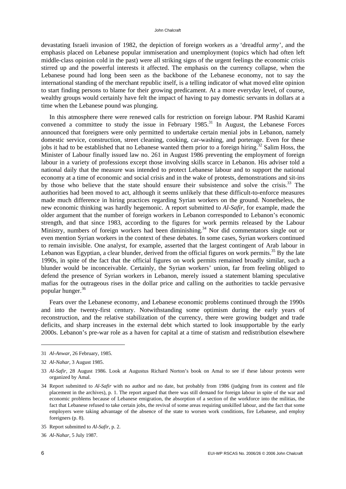devastating Israeli invasion of 1982, the depiction of foreign workers as a 'dreadful army', and the emphasis placed on Lebanese popular immiseration and unemployment (topics which had often left middle-class opinion cold in the past) were all striking signs of the urgent feelings the economic crisis stirred up and the powerful interests it affected. The emphasis on the currency collapse, when the Lebanese pound had long been seen as the backbone of the Lebanese economy, not to say the international standing of the merchant republic itself, is a telling indicator of what moved elite opinion to start finding persons to blame for their growing predicament. At a more everyday level, of course, wealthy groups would certainly have felt the impact of having to pay domestic servants in dollars at a time when the Lebanese pound was plunging.

In this atmosphere there were renewed calls for restriction on foreign labour. PM Rashid Karami convened a committee to study the issue in February  $1985$ .<sup>31</sup> In August, the Lebanese Forces announced that foreigners were only permitted to undertake certain menial jobs in Lebanon, namely domestic service, construction, street cleaning, cooking, car-washing, and porterage. Even for these jobs it had to be established that no Lebanese wanted them prior to a foreign hiring.<sup>32</sup> Salim Hoss, the Minister of Labour finally issued law no. 261 in August 1986 preventing the employment of foreign labour in a variety of professions except those involving skills scarce in Lebanon. His adviser told a national daily that the measure was intended to protect Lebanese labour and to support the national economy at a time of economic and social crisis and in the wake of protests, demonstrations and sit-ins by those who believe that the state should ensure their subsistence and solve the crisis.<sup>33</sup> The authorities had been moved to act, although it seems unlikely that these difficult-to-enforce measures made much difference in hiring practices regarding Syrian workers on the ground. Nonetheless, the new economic thinking was hardly hegemonic. A report submitted to *Al-Safir,* for example, made the older argument that the number of foreign workers in Lebanon corresponded to Lebanon's economic strength, and that since 1983, according to the figures for work permits released by the Labour Ministry, numbers of foreign workers had been diminishing.<sup>34</sup> Nor did commentators single out or even mention Syrian workers in the context of these debates. In some cases, Syrian workers continued to remain invisible. One analyst, for example, asserted that the largest contingent of Arab labour in Lebanon was Egyptian, a clear blunder, derived from the official figures on work permits.<sup>35</sup> By the late 1990s, in spite of the fact that the official figures on work permits remained broadly similar, such a blunder would be inconceivable. Certainly, the Syrian workers' union, far from feeling obliged to defend the presence of Syrian workers in Lebanon, merely issued a statement blaming speculative mafias for the outrageous rises in the dollar price and calling on the authorities to tackle pervasive popular hunger.<sup>36</sup>

Fears over the Lebanese economy, and Lebanese economic problems continued through the 1990s and into the twenty-first century. Notwithstanding some optimism during the early years of reconstruction, and the relative stabilization of the currency, there were growing budget and trade deficits, and sharp increases in the external debt which started to look insupportable by the early 2000s. Lebanon's pre-war role as a haven for capital at a time of statism and redistribution elsewhere

<sup>31</sup> *Al-Anwar,* 26 February, 1985.

<sup>32</sup> *Al-Nahar,* 3 August 1985.

<sup>33</sup> *Al-Safir,* 28 August 1986. Look at Augustus Richard Norton's book on Amal to see if these labour protests were organized by Amal.

<sup>34</sup> Report submitted to *Al-Safir* with no author and no date, but probably from 1986 (judging from its content and file placement in the archives), p. 1. The report argued that there was still demand for foreign labour in spite of the war and economic problems because of Lebanese emigration, the absorption of a section of the workforce into the militias, the fact that Lebanese refused to take certain jobs, the revival of some areas requiring unskilled labour, and the fact that some employers were taking advantage of the absence of the state to worsen work conditions, fire Lebanese, and employ foreigners (p. 8).

<sup>35</sup> Report submitted to *Al-Safir*, p. 2.

<sup>36</sup> *Al-Nahar,* 5 July 1987.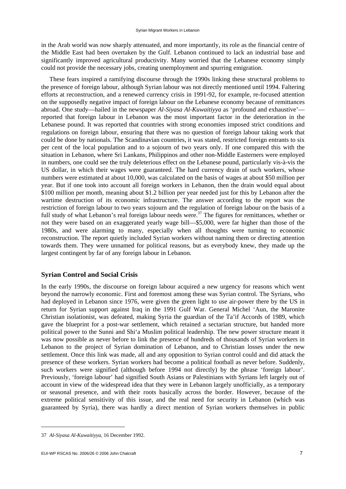in the Arab world was now sharply attenuated, and more importantly, its role as the financial centre of the Middle East had been overtaken by the Gulf. Lebanon continued to lack an industrial base and significantly improved agricultural productivity. Many worried that the Lebanese economy simply could not provide the necessary jobs, creating unemployment and spurring emigration.

These fears inspired a ramifying discourse through the 1990s linking these structural problems to the presence of foreign labour, although Syrian labour was not directly mentioned until 1994. Faltering efforts at reconstruction, and a renewed currency crisis in 1991-92, for example, re-focused attention on the supposedly negative impact of foreign labour on the Lebanese economy because of remittances abroad. One study—hailed in the newspaper *Al-Siyasa Al-Kuwaitiyya* as 'profound and exhaustive' reported that foreign labour in Lebanon was the most important factor in the deterioration in the Lebanese pound. It was reported that countries with strong economies imposed strict conditions and regulations on foreign labour, ensuring that there was no question of foreign labour taking work that could be done by nationals. The Scandinavian countries, it was stated, restricted foreign entrants to six per cent of the local population and to a sojourn of two years only. If one compared this with the situation in Lebanon, where Sri Lankans, Philippinos and other non-Middle Easterners were employed in numbers, one could see the truly deleterious effect on the Lebanese pound, particularly vis-à-vis the US dollar, in which their wages were guaranteed. The hard currency drain of such workers, whose numbers were estimated at about 10,000, was calculated on the basis of wages at about \$50 million per year. But if one took into account all foreign workers in Lebanon, then the drain would equal about \$100 million per month, meaning about \$1.2 billion per year needed just for this by Lebanon after the wartime destruction of its economic infrastructure. The answer according to the report was the restriction of foreign labour to two years sojourn and the regulation of foreign labour on the basis of a full study of what Lebanon's real foreign labour needs were.<sup>37</sup> The figures for remittances, whether or not they were based on an exaggerated yearly wage bill—\$5,000, were far higher than those of the 1980s, and were alarming to many, especially when all thoughts were turning to economic reconstruction. The report quietly included Syrian workers without naming them or directing attention towards them. They were unnamed for political reasons, but as everybody knew, they made up the largest contingent by far of any foreign labour in Lebanon.

### **Syrian Control and Social Crisis**

In the early 1990s, the discourse on foreign labour acquired a new urgency for reasons which went beyond the narrowly economic. First and foremost among these was Syrian control. The Syrians, who had deployed in Lebanon since 1976, were given the green light to use air-power there by the US in return for Syrian support against Iraq in the 1991 Gulf War. General Michel 'Aun, the Maronite Christian isolationist, was defeated, making Syria the guardian of the Ta'if Accords of 1989, which gave the blueprint for a post-war settlement, which retained a sectarian structure, but handed more political power to the Sunni and Shi'a Muslim political leadership. The new power structure meant it was now possible as never before to link the presence of hundreds of thousands of Syrian workers in Lebanon to the project of Syrian domination of Lebanon, and to Christian losses under the new settlement. Once this link was made, all and any opposition to Syrian control could and did attack the presence of these workers. Syrian workers had become a political football as never before. Suddenly, such workers were signified (although before 1994 not directly) by the phrase 'foreign labour'. Previously, 'foreign labour' had signified South Asians or Palestinians with Syrians left largely out of account in view of the widespread idea that they were in Lebanon largely unofficially, as a temporary or seasonal presence, and with their roots basically across the border. However, because of the extreme political sensitivity of this issue, and the real need for security in Lebanon (which was guaranteed by Syria), there was hardly a direct mention of Syrian workers themselves in public

<sup>37</sup> *Al-Siyasa Al-Kuwaitiyya,* 16 December 1992.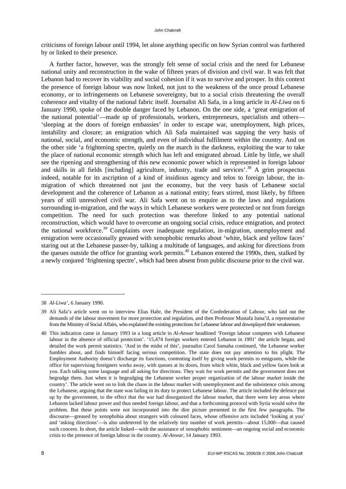criticisms of foreign labour until 1994, let alone anything specific on how Syrian control was furthered by or linked to their presence.

A further factor, however, was the strongly felt sense of social crisis and the need for Lebanese national unity and reconstruction in the wake of fifteen years of division and civil war. It was felt that Lebanon had to recover its viability and social cohesion if it was to survive and prosper. In this context the presence of foreign labour was now linked, not just to the weakness of the once proud Lebanese economy, or to infringements on Lebanese sovereignty, but to a social crisis threatening the overall coherence and vitality of the national fabric itself. Journalist Ali Safa, in a long article in *Al-Liwa* on 6 January 1990, spoke of the double danger faced by Lebanon. On the one side, a 'great emigration of the national potential'—made up of professionals, workers, entrepreneurs, specialists and others— 'sleeping at the doors of foreign embassies' in order to escape war, unemployment, high prices, instability and closure; an emigration which Ali Safa maintained was sapping the very basis of national, social, and economic strength, and even of individual fulfilment within the country. And on the other side 'a frightening spectre, quietly on the march in the darkness, exploiting the war to take the place of national economic strength which has left and emigrated abroad. Little by little, we shall see the ripening and strengthening of this new economic power which is represented in foreign labour and skills in all fields [including] agriculture, industry, trade and services'.<sup>38</sup> A grim prospectus indeed, notable for its ascription of a kind of insidious agency and telos to foreign labour, the inmigration of which threatened not just the economy, but the very basis of Lebanese social development and the coherence of Lebanon as a national entity; fears stirred, most likely, by fifteen years of still unresolved civil war. Ali Safa went on to enquire as to the laws and regulations surrounding in-migration, and the ways in which Lebanese workers were protected or not from foreign competition. The need for such protection was therefore linked to any potential national reconstruction, which would have to overcome an ongoing social crisis, reduce emigration, and protect the national workforce.<sup>39</sup> Complaints over inadequate regulation, in-migration, unemployment and emigration were occasionally greased with xenophobic remarks about 'white, black and yellow faces' staring out at the Lebanese passer-by, talking a multitude of languages, and asking for directions from the queues outside the office for granting work permits.<sup>40</sup> Lebanon entered the 1990s, then, stalked by a newly conjured 'frightening spectre', which had been absent from public discourse prior to the civil war.

<sup>38</sup> *Al-Liwa',* 6 January 1990.

<sup>39</sup> Ali Safa's article went on to interview Elias Habr, the President of the Confederation of Labour, who laid out the demands of the labour movement for more protection and regulation, and then Professor Mustafa Isma'il, a representative from the Ministry of Social Affairs, who explained the existing protections for Lebanese labour and downplayed their weaknesses.

<sup>40</sup> This indication came in January 1993 in a long article in *Al-Anwar* headlined 'Foreign labour competes with Lebanese labour in the absence of official protection'. '15,474 foreign workers entered Lebanon in 1991' the article began, and detailed the work permit statistics. 'And in the midst of this', journalist Carol Samaha continued, 'the Lebanese worker fumbles about, and finds himself facing serious competition. The state does not pay attention to his plight. The Employment Authority doesn't discharge its functions, contenting itself by giving work permits to emigrants, while the office for supervising foreigners works away, with queues at its doors, from which white, black and yellow faces look at you. Each talking some language and all asking for directions. They wait for work permits and the government does not begrudge them. Just when it is begrudging the Lebanese worker proper organization of the labour market inside the country'. The article went on to link the chaos in the labour market with unemployment and the subsistence crisis among the Lebanese, arguing that the state was failing in its duty to protect Lebanese labour. The article included the defence put up by the government, to the effect that the war had disorganized the labour market, that there were key areas where Lebanon lacked labour power and thus needed foreign labour, and that a forthcoming protocol with Syria would solve the problem. But these points were not incorporated into the dire picture presented in the first few paragraphs. The discourse—greased by xenophobia about strangers with coloured faces, whose offensive acts included 'looking at you' and 'asking directions'—is also undeterred by the relatively tiny number of work permits—about 15,000—that caused such concern. In short, the article linked—with the assistance of xenophobic sentiment—an ongoing social and economic crisis to the presence of foreign labour in the country. *Al-Anwar,* 14 January 1993.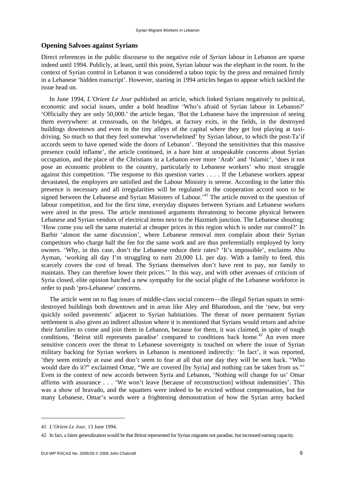#### **Opening Salvoes against Syrians**

Direct references in the public discourse to the negative role of *Syrian* labour in Lebanon are sparse indeed until 1994. Publicly, at least, until this point, Syrian labour was the elephant in the room. In the context of Syrian control in Lebanon it was considered a taboo topic by the press and remained firmly in a Lebanese 'hidden transcript'. However, starting in 1994 articles began to appear which tackled the issue head on.

In June 1994, *L'Orient Le Jour* published an article, which linked Syrians negatively to political, economic and social issues, under a bold headline 'Who's afraid of Syrian labour in Lebanon?' 'Officially they are only 50,000.' the article began, 'But the Lebanese have the impression of seeing them everywhere: at crossroads, on the bridges, at factory exits, in the fields, in the destroyed buildings downtown and even in the tiny alleys of the capital where they get lost playing at taxidriving. So much so that they feel somewhat 'overwhelmed' by Syrian labour, to which the post-Ta'if accords seem to have opened wide the doors of Lebanon'. 'Beyond the sensitivities that this massive presence could inflame', the article continued, in a bare hint at unspeakable concerns about Syrian occupation, and the place of the Christians in a Lebanon ever more 'Arab' and 'Islamic', 'does it not pose an economic problem to the country, particularly to Lebanese workers' who must struggle against this competition. 'The response to this question varies . . . . If the Lebanese workers appear devastated, the employers are satisfied and the Labour Ministry is serene. According to the latter this presence is necessary and all irregularities will be regulated in the cooperation accord soon to be signed between the Lebanese and Syrian Ministers of Labour.<sup>41</sup> The article moved to the question of labour competition, and for the first time, everyday disputes between Syrians and Lebanese workers were aired in the press. The article mentioned arguments threatening to become physical between Lebanese and Syrian vendors of electrical items next to the Hazmieh junction. The Lebanese shouting: 'How come you sell the same material at cheaper prices in this region which is under our control?' In Barbir 'almost the same discussion', where Lebanese removal men complain about their Syrian competitors who charge half the fee for the same work and are thus preferentially employed by lorry owners. 'Why, in this case, don't the Lebanese reduce their rates? 'It's impossible', exclaims Abu Ayman, 'working all day I'm struggling to earn 20,000 LL per day. With a family to feed, this scarcely covers the cost of bread. The Syrians themselves don't have rent to pay, nor family to maintain. They can therefore lower their prices.'' In this way, and with other avenues of criticism of Syria closed, elite opinion hatched a new sympathy for the social plight of the Lebanese workforce in order to push 'pro-Lebanese' concerns.

The article went on to flag issues of middle-class social concern—the illegal Syrian squats in semidestroyed buildings both downtown and in areas like Aley and Bhamdoun, and the 'new, but very quickly soiled pavements' adjacent to Syrian habitations. The threat of more permanent Syrian settlement is also given an indirect allusion where it is mentioned that Syrians would return and advise their families to come and join them in Lebanon, because for them, it was claimed, in spite of tough conditions, 'Beirut still represents paradise' compared to conditions back home.<sup>42</sup> An even more sensitive concern over the threat to Lebanese sovereignty is touched on where the issue of Syrian military backing for Syrian workers in Lebanon is mentioned indirectly: 'In fact', it was reported, 'they seem entirely at ease and don't seem to fear at all that one day they will be sent back. "Who would dare do it?" exclaimed Omar, "We are covered [by Syria] and nothing can be taken from us."' Even in the context of new accords between Syria and Lebanon, 'Nothing will change for us' Omar affirms with assurance . . . 'We won't leave [because of reconstruction] without indemnities'. This was a show of bravado, and the squatters were indeed to be evicted without compensation, but for many Lebanese, Omar's words were a frightening demonstration of how the Syrian army backed

<sup>41</sup> *L'Orient Le Jour,* 13 June 1994.

<sup>42</sup> In fact, a fairer generalization would be that Beirut represented for Syrian migrants not paradise, but increased earning capacity.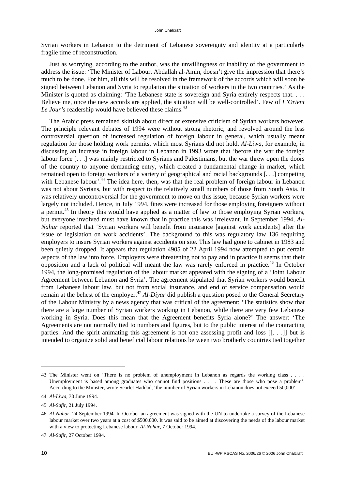Syrian workers in Lebanon to the detriment of Lebanese sovereignty and identity at a particularly fragile time of reconstruction.

Just as worrying, according to the author, was the unwillingness or inability of the government to address the issue: 'The Minister of Labour, Abdallah al-Amin, doesn't give the impression that there's much to be done. For him, all this will be resolved in the framework of the accords which will soon be signed between Lebanon and Syria to regulation the situation of workers in the two countries.' As the Minister is quoted as claiming: 'The Lebanese state is sovereign and Syria entirely respects that. . . . Believe me, once the new accords are applied, the situation will be well-controlled'. Few of *L'Orient Le Jour's* readership would have believed these claims.<sup>43</sup>

The Arabic press remained skittish about direct or extensive criticism of Syrian workers however. The principle relevant debates of 1994 were without strong rhetoric, and revolved around the less controversial question of increased regulation of foreign labour in general, which usually meant regulation for those holding work permits, which most Syrians did not hold. *Al-Liwa,* for example, in discussing an increase in foreign labour in Lebanon in 1993 wrote that 'before the war the foreign labour force [. . .] was mainly restricted to Syrians and Palestinians, but the war threw open the doors of the country to anyone demanding entry, which created a fundamental change in market, which remained open to foreign workers of a variety of geographical and racial backgrounds [. . .] competing with Lebanese labour<sup>'.44</sup> The idea here, then, was that the real problem of foreign labour in Lebanon was not about Syrians, but with respect to the relatively small numbers of those from South Asia. It was relatively uncontroversial for the government to move on this issue, because Syrian workers were largely not included. Hence, in July 1994, fines were increased for those employing foreigners without a permit.<sup>45</sup> In theory this would have applied as a matter of law to those employing Syrian workers, but everyone involved must have known that in practice this was irrelevant. In September 1994, *Al-Nahar* reported that 'Syrian workers will benefit from insurance [against work accidents] after the issue of legislation on work accidents'. The background to this was regulatory law 136 requiring employers to insure Syrian workers against accidents on site. This law had gone to cabinet in 1983 and been quietly dropped. It appears that regulation 4905 of 22 April 1994 now attempted to put certain aspects of the law into force. Employers were threatening not to pay and in practice it seems that their opposition and a lack of political will meant the law was rarely enforced in practice.<sup>46</sup> In October 1994, the long-promised regulation of the labour market appeared with the signing of a 'Joint Labour Agreement between Lebanon and Syria'. The agreement stipulated that Syrian workers would benefit from Lebanese labour law, but not from social insurance, and end of service compensation would remain at the behest of the employer.<sup>47</sup> *Al-Divar* did publish a question posed to the General Secretary of the Labour Ministry by a news agency that was critical of the agreement: 'The statistics show that there are a large number of Syrian workers working in Lebanon, while there are very few Lebanese working in Syria. Does this mean that the Agreement benefits Syria alone?' The answer: 'The Agreements are not normally tied to numbers and figures, but to the public interest of the contracting parties. And the spirit animating this agreement is not one assessing profit and loss [[. . .]] but is intended to organize solid and beneficial labour relations between two brotherly countries tied together

-

<sup>43</sup> The Minister went on 'There is no problem of unemployment in Lebanon as regards the working class . . . . Unemployment is based among graduates who cannot find positions . . . . These are those who pose a problem'. According to the Minister, wrote Scarlet Haddad, 'the number of Syrian workers in Lebanon does not exceed 50,000'.

<sup>44</sup> *Al-Liwa,* 30 June 1994.

<sup>45</sup> *Al-Safir,* 21 July 1994.

<sup>46</sup> *Al-Nahar,* 24 September 1994. In October an agreement was signed with the UN to undertake a survey of the Lebanese labour market over two years at a cost of \$500,000. It was said to be aimed at discovering the needs of the labour market with a view to protecting Lebanese labour. *Al-Nahar,* 7 October 1994.

<sup>47</sup> *Al-Safir,* 27 October 1994.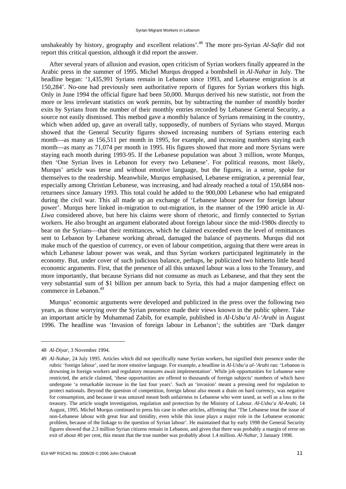unshakeably by history, geography and excellent relations<sup>', 48</sup> The more pro-Syrian *Al-Safir* did not report this critical question, although it did report the answer.

After several years of allusion and evasion, open criticism of Syrian workers finally appeared in the Arabic press in the summer of 1995. Michel Murqus dropped a bombshell in *Al-Nahar* in July. The headline began: '1,435,991 Syrians remain in Lebanon since 1993, and Lebanese emigration is at 150,284'. No-one had previously seen authoritative reports of figures for Syrian workers this high. Only in June 1994 the official figure had been 50,000. Murqus derived his new statistic, not from the more or less irrelevant statistics on work permits, but by subtracting the number of monthly border exits by Syrians from the number of their monthly entries recorded by Lebanese General Security, a source not easily dismissed. This method gave a monthly balance of Syrians remaining in the country, which when added up, gave an overall tally, supposedly, of numbers of Syrians who stayed. Murqus showed that the General Security figures showed increasing numbers of Syrians entering each month—as many as 156,511 per month in 1995, for example, and increasing numbers staying each month—as many as 71,074 per month in 1995. His figures showed that more and more Syrians were staying each month during 1993-95. If the Lebanese population was about 3 million, wrote Murqus, then 'One Syrian lives in Lebanon for every two Lebanese'. For political reasons, most likely, Murqus' article was terse and without emotive language, but the figures, in a sense, spoke for themselves to the readership. Meanwhile, Murqus emphasised, Lebanese emigration, a perennial fear, especially among Christian Lebanese, was increasing, and had already reached a total of 150,684 nonreturnees since January 1993. This total could be added to the 900,000 Lebanese who had emigrated during the civil war. This all made up an exchange of 'Lebanese labour power for foreign labour power'. Murqus here linked in-migration to out-migration, in the manner of the 1990 article in *Al-Liwa* considered above, but here his claims were shorn of rhetoric, and firmly connected to Syrian workers. He also brought an argument elaborated about foreign labour since the mid-1980s directly to bear on the Syrians—that their remittances, which he claimed exceeded even the level of remittances sent to Lebanon by Lebanese working abroad, damaged the balance of payments. Murqus did not make much of the question of currency, or even of labour competition, arguing that there were areas in which Lebanese labour power was weak, and thus Syrian workers participated legitimately in the economy. But, under cover of such judicious balance, perhaps, he publicized two hitherto little heard economic arguments. First, that the presence of all this untaxed labour was a loss to the Treasury, and more importantly, that because Syrians did not consume as much as Lebanese, and that they sent the very substantial sum of \$1 billion per annum back to Syria, this had a major dampening effect on commerce in Lebanon.<sup>49</sup>

Murqus' economic arguments were developed and publicized in the press over the following two years, as those worrying over the Syrian presence made their views known in the public sphere. Take an important article by Muhammad Zabib, for example, published in *Al-Usbu'a Al-'Arabi* in August 1996. The headline was 'Invasion of foreign labour in Lebanon'; the subtitles are 'Dark danger

<sup>48</sup> *Al-Diyar,* 3 November 1994.

<sup>49</sup> *Al-Nahar,* 24 July 1995. Articles which did not specifically name Syrian workers, but signified their presence under the rubric 'foreign labour', used far more emotive language. For example, a headline in *Al-Usbu'a al-'Arabi* ran: 'Lebanon is drowning in foreign workers and regulatory measures await implementation'. While job opportunities for Lebanese were restricted, the article claimed, 'these opportunities are offered to thousands of foreign subjects' numbers of which have undergone 'a remarkable increase in the last four years'. Such an 'invasion' meant a pressing need for regulation to protect nationals. Beyond the question of competition, foreign labour also meant a drain on hard currency, was negative for consumption, and because it was untaxed meant both unfairness to Lebanese who were taxed, as well as a loss to the treasury. The article sought investigation, regulation and protection by the Ministry of Labour. *Al-Usbu'a Al-Arabi,* 14 August, 1995. Michel Murqus continued to press his case in other articles, affirming that 'The Lebanese treat the issue of non-Lebanese labour with great fear and timidity, even while this issue plays a major role in the Lebanese economic problem, because of the linkage to the question of Syrian labour'. He maintained that by early 1998 the General Security figures showed that 2.3 million Syrian citizens remain in Lebanon, and given that there was probably a margin of error on exit of about 40 per cent, this meant that the true number was probably about 1.4 million. *Al-Nahar,* 3 January 1998.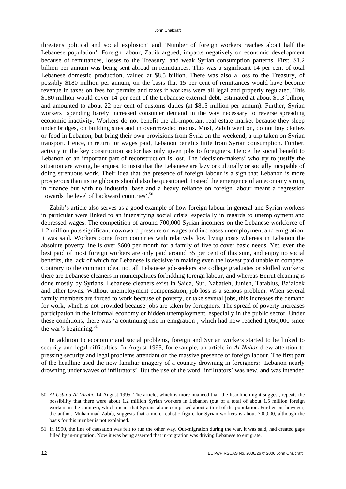threatens political and social explosion' and 'Number of foreign workers reaches about half the Lebanese population'. Foreign labour, Zabib argued, impacts negatively on economic development because of remittances, losses to the Treasury, and weak Syrian consumption patterns. First, \$1.2 billion per annum was being sent abroad in remittances. This was a significant 14 per cent of total Lebanese domestic production, valued at \$8.5 billion. There was also a loss to the Treasury, of possibly \$180 million per annum, on the basis that 15 per cent of remittances would have become revenue in taxes on fees for permits and taxes if workers were all legal and properly regulated. This \$180 million would cover 14 per cent of the Lebanese external debt, estimated at about \$1.3 billion, and amounted to about 22 per cent of customs duties (at \$815 million per annum). Further, Syrian workers' spending barely increased consumer demand in the way necessary to reverse spreading economic inactivity. Workers do not benefit the all-important real estate market because they sleep under bridges, on building sites and in overcrowded rooms. Most, Zabib went on, do not buy clothes or food in Lebanon, but bring their own provisions from Syria on the weekend, a trip taken on Syrian transport. Hence, in return for wages paid, Lebanon benefits little from Syrian consumption. Further, activity in the key construction sector has only given jobs to foreigners. Hence the social benefit to Lebanon of an important part of reconstruction is lost. The 'decision-makers' who try to justify the situation are wrong, he argues, to insist that the Lebanese are lazy or culturally or socially incapable of doing strenuous work. Their idea that the presence of foreign labour is a sign that Lebanon is more prosperous than its neighbours should also be questioned. Instead the emergence of an economy strong in finance but with no industrial base and a heavy reliance on foreign labour meant a regression 'towards the level of backward countries'.50

Zabib's article also serves as a good example of how foreign labour in general and Syrian workers in particular were linked to an intensifying social crisis, especially in regards to unemployment and depressed wages. The competition of around 700,000 Syrian incomers on the Lebanese workforce of 1.2 million puts significant downward pressure on wages and increases unemployment and emigration, it was said. Workers come from countries with relatively low living costs whereas in Lebanon the absolute poverty line is over \$600 per month for a family of five to cover basic needs. Yet, even the best paid of most foreign workers are only paid around 35 per cent of this sum, and enjoy no social benefits, the lack of which for Lebanese is decisive in making even the lowest paid unable to compete. Contrary to the common idea, not all Lebanese job-seekers are college graduates or skilled workers: there are Lebanese cleaners in municipalities forbidding foreign labour, and whereas Beirut cleaning is done mostly by Syrians, Lebanese cleaners exist in Saida, Sur, Nabatieh, Junieh, Tarablus, Ba'albek and other towns. Without unemployment compensation, job loss is a serious problem. When several family members are forced to work because of poverty, or take several jobs, this increases the demand for work, which is not provided because jobs are taken by foreigners. The spread of poverty increases participation in the informal economy or hidden unemployment, especially in the public sector. Under these conditions, there was 'a continuing rise in emigration', which had now reached 1,050,000 since the war's beginning.<sup>51</sup>

In addition to economic and social problems, foreign and Syrian workers started to be linked to security and legal difficulties. In August 1995, for example, an article in *Al-Nahar* drew attention to pressing security and legal problems attendant on the massive presence of foreign labour. The first part of the headline used the now familiar imagery of a country drowning in foreigners: 'Lebanon nearly drowning under waves of infiltrators'. But the use of the word 'infiltrators' was new, and was intended

<sup>50</sup> *Al-Usbu'a Al-'Arabi,* 14 August 1995. The article, which is more nuanced than the headline might suggest, repeats the possibility that there were about 1.2 million Syrian workers in Lebanon (out of a total of about 1.5 million foreign workers in the country), which meant that Syrians alone comprised about a third of the population. Further on, however, the author, Muhammad Zabib, suggests that a more realistic figure for Syrian workers is about 700,000, although the basis for this number is not explained.

<sup>51</sup> In 1990, the line of causation was felt to run the other way. Out-migration during the war, it was said, had created gaps filled by in-migration. Now it was being asserted that in-migration was driving Lebanese to emigrate.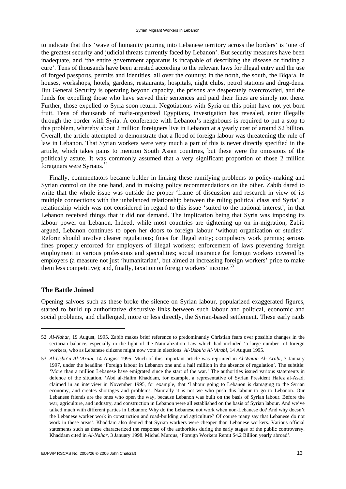to indicate that this 'wave of humanity pouring into Lebanese territory across the borders' is 'one of the greatest security and judicial threats currently faced by Lebanon'. But security measures have been inadequate, and 'the entire government apparatus is incapable of describing the disease or finding a cure'. Tens of thousands have been arrested according to the relevant laws for illegal entry and the use of forged passports, permits and identities, all over the country: in the north, the south, the Biqa'a, in houses, workshops, hotels, gardens, restaurants, hospitals, night clubs, petrol stations and drug-dens. But General Security is operating beyond capacity, the prisons are desperately overcrowded, and the funds for expelling those who have served their sentences and paid their fines are simply not there. Further, those expelled to Syria soon return. Negotiations with Syria on this point have not yet born fruit. Tens of thousands of mafia-organized Egyptians, investigation has revealed, enter illegally through the border with Syria. A conference with Lebanon's neighbours is required to put a stop to this problem, whereby about 2 million foreigners live in Lebanon at a yearly cost of around \$2 billion. Overall, the article attempted to demonstrate that a flood of foreign labour was threatening the rule of law in Lebanon. That Syrian workers were very much a part of this is never directly specified in the article, which takes pains to mention South Asian countries, but these were the omissions of the politically astute. It was commonly assumed that a very significant proportion of those 2 million foreigners were Syrians.<sup>52</sup>

Finally, commentators became bolder in linking these ramifying problems to policy-making and Syrian control on the one hand, and in making policy recommendations on the other. Zabib dared to write that the whole issue was outside the proper 'frame of discussion and research in view of its multiple connections with the unbalanced relationship between the ruling political class and Syria', a relationship which was not considered in regard to this issue 'suited to the national interest', in that Lebanon received things that it did not demand. The implication being that Syria was imposing its labour power on Lebanon. Indeed, while most countries are tightening up on in-migration, Zabib argued, Lebanon continues to open her doors to foreign labour 'without organization or studies'. Reform should involve clearer regulations; fines for illegal entry; compulsory work permits; serious fines properly enforced for employers of illegal workers; enforcement of laws preventing foreign employment in various professions and specialities; social insurance for foreign workers covered by employers (a measure not just 'humanitarian', but aimed at increasing foreign workers' price to make them less competitive); and, finally, taxation on foreign workers' income.<sup>53</sup>

#### **The Battle Joined**

1

Opening salvoes such as these broke the silence on Syrian labour, popularized exaggerated figures, started to build up authoritative discursive links between such labour and political, economic and social problems, and challenged, more or less directly, the Syrian-based settlement. These early raids

<sup>52</sup> *Al-Nahar,* 19 August, 1995. Zabib makes brief reference to predominantly Christian fears over possible changes in the sectarian balance, especially in the light of the Naturalization Law which had included 'a large number' of foreign workers, who as Lebanese citizens might now vote in elections. *Al-Usbu'a Al-'Arabi,* 14 August 1995.

<sup>53</sup> *Al-Usbu'a Al-'Arabi,* 14 August 1995. Much of this important article was reprinted in *Al-Watan Al-'Arabi,* 3 January 1997, under the headline 'Foreign labour in Lebanon one and a half million in the absence of regulation'. The subtitle: 'More than a million Lebanese have emigrated since the start of the war.' The authorities issued various statements in defence of the situation. 'Abd al-Halim Khaddam, for example, a representative of Syrian President Hafez al-Asad, claimed in an interview in November 1995, for example, that 'Labour going to Lebanon is damaging to the Syrian economy, and creates shortages and problems. Naturally it is not we who push this labour to go to Lebanon. Our Lebanese friends are the ones who open the way, because Lebanon was built on the basis of Syrian labour. Before the war, agriculture, and industry, and construction in Lebanon were all established on the basis of Syrian labour. And we've talked much with different parties in Lebanon: Why do the Lebanese not work when non-Lebanese do? And why doesn't the Lebanese worker work in construction and road-building and agriculture? Of course many say that Lebanese do not work in these areas'. Khaddam also denied that Syrian workers were cheaper than Lebanese workers. Various official statements such as these characterized the response of the authorities during the early stages of the public controversy. Khaddam cited in *Al-Nahar,* 3 January 1998. Michel Murqus, 'Foreign Workers Remit \$4.2 Billion yearly abroad'.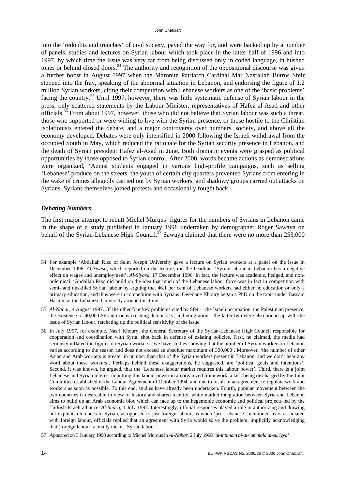into the 'redoubts and trenches' of civil society, paved the way for, and were backed up by a number of panels, studies and lectures on Syrian labour which took place in the latter half of 1996 and into 1997, by which time the issue was very far from being discussed only in coded language, in hushed tones or behind closed doors.<sup>54</sup> The authority and recognition of the oppositional discourse was given a further boost in August 1997 when the Maronite Patriarch Cardinal Mar Nasrallah Butros Sfeir stepped into the fray, speaking of the abnormal situation in Lebanon, and endorsing the figure of 1.2 million Syrian workers, citing their competition with Lebanese workers as one of the 'basic problems' facing the country.55 Until 1997, however, there was little systematic defense of Syrian labour in the press, only scattered statements by the Labour Minister, representatives of Hafez al-Asad and other officials.56 From about 1997, however, those who did not believe that Syrian labour was such a threat, those who supported or were willing to live with the Syrian presence, or those hostile to the Christian isolationists entered the debate, and a major controversy over numbers, society, and above all the economy developed. Debates were only intensified in 2000 following the Israeli withdrawal from the occupied South in May, which reduced the rationale for the Syrian security presence in Lebanon, and the death of Syrian president Hafez al-Asad in June. Both dramatic events were grasped as political opportunities by those opposed to Syrian control. After 2000, words became actions as demonstrations were organized, 'Aunist students engaged in various high-profile campaigns, such as selling 'Lebanese' produce on the streets, the youth of certain city quarters prevented Syrians from entering in the wake of crimes allegedly carried out by Syrian workers, and shadowy groups carried out attacks on Syrians. Syrians themselves joined protests and occasionally fought back.

#### *Debating Numbers*

1

The first major attempt to rebutt Michel Murqus' figures for the numbers of Syrians in Lebanon came in the shape of a study published in January 1998 undertaken by demographer Roger Sawaya on behalf of the Syrian-Lebanese High Council.<sup>57</sup> Sawaya claimed that there were no more than 253,000

<sup>54</sup> For example 'Abdallah Rizq of Saint Joseph University gave a lecture on Syrian workers at a panel on the issue in December 1996. *Al-Siyasa,* which reported on the lecture, ran the headline: 'Syrian labour in Lebanon has a negative effect on wages and unemployment'. *Al-Siyasa,* 17 December 1996. In fact, the lecture was academic, hedged, and nonpolemical. 'Abdallah Rizq did build on the idea that much of the Lebanese labour force was in fact in competition with semi- and unskilled Syrian labour by arguing that 46.1 per cent of Lebanese workers had either no education or only a primary education, and thus were in competition with Syrians. Oweijane Khoury began a PhD on the topic under Bassam Hashim at the Lebanese University around this time.

<sup>55</sup> *Al-Nahar,* 4 August 1997. Of the other four key problems cited by Sfeir—the Israeli occupation, the Palestinian presence, the existence of 40,000 Syrian troops crushing democracy, and emigration—the latter two were also bound up with the issue of Syrian labour, ratcheting up the political sensitivity of the issue.

<sup>56</sup> In July 1997, for example, Nasri Khoury, the General Secretary of the Syrian-Lebanese High Council responsible for cooperation and coordination with Syria, shot back in defense of existing policies. First, he claimed, the media had seriously inflated the figures on Syrian workers: 'we have studies showing that the number of Syrian workers in Lebanon varies according to the season and does not exceed an absolute maximum of 300,000'. Moreover, 'the number of other Asian and Arab workers is greater in number than that of the Syrian workers present in Lebanon, and we don't hear any word about these workers'. Perhaps behind these exaggerations, he suggested, are 'political goals and intentions'. Second, it was known, he argued, that the 'Lebanese labour market requires this labour power'. Third, there is a joint Lebanese and Syrian interest in putting this labour power in an organized framework, a task being discharged by the Joint Committee established in the Labour Agreement of October 1994, and due to result in an agreement to regulate work and workers as soon as possible. To this end, studies have already been undertaken. Fourth, popular movement between the two countries is desireable in view of history and shared identity, while market integration between Syria and Lebanon aims to build up an Arab economic bloc which can face up to the hegemonic economic and political projects led by the Turkish-Israeli alliance. *Al-Sharq,* 1 July 1997. Interestingly, official responses played a role in authorizing and drawing out explicit references to Syrian, as opposed to just foreign labour, as when 'pro-Lebanese' mentioned fears associated with foreign labour, officials replied that an agreement with Syria would solve the problem, implicitly acknowledging that 'foreign labour' actually meant 'Syrian labour'.

<sup>57</sup> Appeared on 3 January 1998 according to Michel Murqus in *Al-Nahar,* 2 July 1998 *'al-ihtimam bi-al-'ummala al-suriyya'*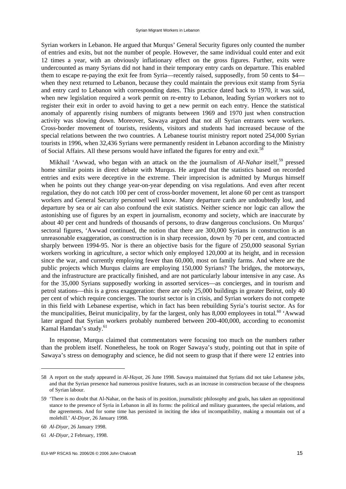Syrian workers in Lebanon. He argued that Murqus' General Security figures only counted the number of entries and exits, but not the number of people. However, the same individual could enter and exit 12 times a year, with an obviously inflationary effect on the gross figures. Further, exits were undercounted as many Syrians did not hand in their temporary entry cards on departure. This enabled them to escape re-paying the exit fee from Syria—recently raised, supposedly, from 50 cents to \$4 when they next returned to Lebanon, because they could maintain the previous exit stamp from Syria and entry card to Lebanon with corresponding dates. This practice dated back to 1970, it was said, when new legislation required a work permit on re-entry to Lebanon, leading Syrian workers not to register their exit in order to avoid having to get a new permit on each entry. Hence the statistical anomaly of apparently rising numbers of migrants between 1969 and 1970 just when construction activity was slowing down. Moreover, Sawaya argued that not all Syrian entrants were workers. Cross-border movement of tourists, residents, visitors and students had increased because of the special relations between the two countries. A Lebanese tourist ministry report noted 254,000 Syrian tourists in 1996, when 32,436 Syrians were permanently resident in Lebanon according to the Ministry of Social Affairs. All these persons would have inflated the figures for entry and exit.<sup>58</sup>

Mikhail 'Awwad, who began with an attack on the the journalism of *Al-Nahar* itself,<sup>59</sup> pressed home similar points in direct debate with Murqus. He argued that the statistics based on recorded entries and exits were deceptive in the extreme. Their imprecision is admitted by Murqus himself when he points out they change year-on-year depending on visa regulations. And even after recent regulation, they do not catch 100 per cent of cross-border movement, let alone 60 per cent as transport workers and General Security personnel well know. Many departure cards are undoubtedly lost, and departure by sea or air can also confound the exit statistics. Neither science nor logic can allow the astonishing use of figures by an expert in journalism, economy and society, which are inaccurate by about 40 per cent and hundreds of thousands of persons, to draw dangerous conclusions. On Murqus' sectoral figures, 'Awwad continued, the notion that there are 300,000 Syrians in construction is an unreasonable exaggeration, as construction is in sharp recession, down by 70 per cent, and contracted sharply between 1994-95. Nor is there an objective basis for the figure of 250,000 seasonal Syrian workers working in agriculture, a sector which only employed 120,000 at its height, and in recession since the war, and currently employing fewer than 60,000, most on family farms. And where are the public projects which Murqus claims are employing 150,000 Syrians? The bridges, the motorways, and the infrastructure are practically finished, and are not particularly labour intensive in any case. As for the 35,000 Syrians supposedly working in assorted services—as concierges, and in tourism and petrol stations—this is a gross exaggeration: there are only 25,000 buildings in greater Beirut, only 40 per cent of which require concierges. The tourist sector is in crisis, and Syrian workers do not compete in this field with Lebanese expertise, which in fact has been rebuilding Syria's tourist sector. As for the muncipalities, Beirut municipality, by far the largest, only has  $8,000$  employees in total.<sup>60</sup> 'Awwad later argued that Syrian workers probably numbered between 200-400,000, according to economist Kamal Hamdan's study.<sup>61</sup>

In response, Murqus claimed that commentators were focusing too much on the numbers rather than the problem itself. Nonetheless, he took on Roger Sawaya's study, pointing out that in spite of Sawaya's stress on demography and science, he did not seem to grasp that if there were 12 entries into

<sup>58</sup> A report on the study appeared in *Al-Hayat,* 26 June 1998. Sawaya maintained that Syrians did not take Lebanese jobs, and that the Syrian presence had numerous positive features, such as an increase in construction because of the cheapness of Syrian labour.

<sup>59 &#</sup>x27;There is no doubt that Al-Nahar, on the basis of its position, journalistic philosophy and goals, has taken an oppositional stance to the presence of Syria in Lebanon in all its forms: the political and military guarantees, the special relations, and the agreements. And for some time has persisted in inciting the idea of incompatibility, making a mountain out of a molehill.' *Al-Diyar,* 26 January 1998.

<sup>60</sup> *Al-Diyar,* 26 January 1998.

<sup>61</sup> *Al-Diyar,* 2 February, 1998.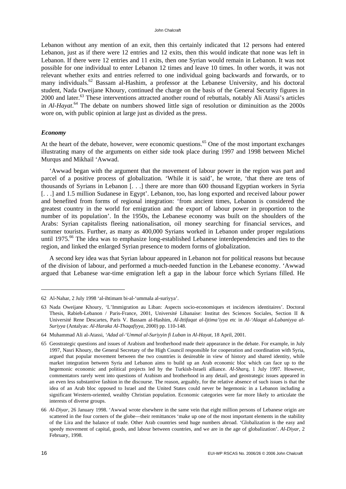Lebanon without any mention of an exit, then this certainly indicated that 12 persons had entered Lebanon, just as if there were 12 entries and 12 exits, then this would indicate that none was left in Lebanon. If there were 12 entries and 11 exits, then one Syrian would remain in Lebanon. It was not possible for one individual to enter Lebanon 12 times and leave 10 times. In other words, it was not relevant whether exits and entries referred to one individual going backwards and forwards, or to many individuals.<sup>62</sup> Bassam al-Hashim, a professor at the Lebanese University, and his doctoral student, Nada Oweijane Khoury, continued the charge on the basis of the General Security figures in 2000 and later.<sup>63</sup> These interventions attracted another round of rebuttals, notably Ali Atassi's articles in *Al-Hayat*. <sup>64</sup> The debate on numbers showed little sign of resolution or diminuition as the 2000s wore on, with public opinion at large just as divided as the press.

#### *Economy*

At the heart of the debate, however, were economic questions.<sup>65</sup> One of the most important exchanges illustrating many of the arguments on either side took place during 1997 and 1998 between Michel Murqus and Mikhail 'Awwad.

'Awwad began with the argument that the movement of labour power in the region was part and parcel of a positive process of globalization. 'While it is said', he wrote, 'that there are tens of thousands of Syrians in Lebanon [. . .] there are more than 600 thousand Egyptian workers in Syria [...] and 1.5 million Sudanese in Egypt'. Lebanon, too, has long exported and received labour power and benefited from forms of regional integration: 'from ancient times, Lebanon is considered the greatest country in the world for emigration and the export of labour power in proportion to the number of its population'. In the 1950s, the Lebanese economy was built on the shoulders of the Arabs: Syrian capitalists fleeing nationalisation, oil money searching for financial services, and summer tourists. Further, as many as 400,000 Syrians worked in Lebanon under proper regulations until 1975.<sup>66</sup> The idea was to emphasize long-established Lebanese interdependencies and ties to the region, and linked the enlarged Syrian presence to modern forms of globalization.

A second key idea was that Syrian labour appeared in Lebanon not for political reasons but because of the division of labour, and performed a much-needed function in the Lebanese economy. 'Awwad argued that Lebanese war-time emigration left a gap in the labour force which Syrians filled. He

-

<sup>62</sup> Al-Nahar, 2 July 1998 'al-ihtimam bi-al-'ummala al-suriyya'.

<sup>63</sup> Nada Oweijane Khoury, 'L'Immigration au Liban: Aspects socio-economiques et incidences identitaires'. Doctoral Thesis, Rabieh-Lebanon / Paris-France, 2001, Université Libanaise: Institut des Sciences Sociales, Section II & Université Rene Descartes, Paris V. Bassam al-Hashim, *Al-Ittifaqat al-Ijtima'iyya* etc in *Al-'Alaqat al-Lubaniyya al-Suriyya* (Antalyas: *Al-Haraka Al-Thaqafiyya,* 2000) pp. 110-148.

<sup>64</sup> Muhammad Ali al-Atassi, *'Adad al-'Ummal al-Suriyyin fi Luban* in *Al-Hayat,* 18 April, 2001.

<sup>65</sup> Geostrategic questions and issues of Arabism and brotherhood made their appearance in the debate. For example, in July 1997, Nasri Khoury, the General Secretary of the High Council responsible for cooperation and coordination with Syria, argued that popular movement between the two countries is desireable in view of history and shared identity, while market integration between Syria and Lebanon aims to build up an Arab economic bloc which can face up to the hegemonic economic and political projects led by the Turkish-Israeli alliance. *Al-Sharq,* 1 July 1997. However, commentators rarely went into questions of Arabism and brotherhood in any detail, and geostrategic issues appeared in an even less substantive fashion in the discourse. The reason, arguably, for the relative absence of such issues is that the idea of an Arab bloc opposed to Israel and the United States could never be hegemonic in a Lebanon including a significant Western-oriented, wealthy Christian population. Economic categories were far more likely to articulate the interests of diverse groups.

<sup>66</sup> *Al-Diyar,* 26 January 1998. 'Awwad wrote elsewhere in the same vein that eight million persons of Lebanese origin are scattered in the four corners of the globe—their remittances 'make up one of the most important elements in the stability of the Lira and the balance of trade. Other Arab countries send huge numbers abroad. 'Globalization is the easy and speedy movement of capital, goods, and labour between countries, and we are in the age of globalization'. *Al-Diyar,* 2 February, 1998.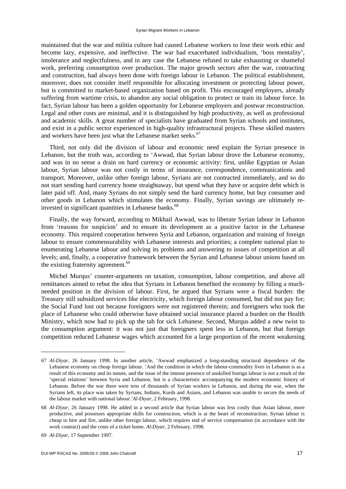maintained that the war and militia culture had caused Lebanese workers to lose their work ethic and become lazy, expensive, and ineffective. The war had exacerbated individualism, 'boss mentality', intolerance and neglectfulness, and in any case the Lebanese refused to take exhausting or shameful work, preferring consumption over production. The major growth sectors after the war, contracting and construction, had always been done with foreign labour in Lebanon. The political establishment, moreover, does not consider itself responsible for allocating investment or protecting labour power, but is committed to market-based organization based on profit. This encouraged employers, already suffering from wartime crisis, to abandon any social obligation to protect or train its labour force. In fact, Syrian labour has been a golden opportunity for Lebanese employers and postwar reconstruction. Legal and other costs are minimal, and it is distinguished by high productivity, as well as professional and academic skills. A great number of specialists have graduated from Syrian schools and institutes, and exist in a public sector experienced in high-quality infrastructural projects. These skilled masters and workers have been just what the Lebanese market seeks.<sup>67</sup>

Third, not only did the division of labour and economic need explain the Syrian presence in Lebanon, but the truth was, according to 'Awwad, that Syrian labour drove the Lebanese economy, and was in no sense a drain on hard currency or economic activity: first, unlike Egyptian or Asian labour, Syrian labour was not costly in terms of insurance, correspondence, communications and transport. Moreover, unlike other foreign labour, Syrians are not contracted immediately, and so do not start sending hard currency home straightaway, but spend what they have or acquire debt which is later paid off. And, many Syrians do not simply send the hard currency home, but buy consumer and other goods in Lebanon which stimulates the economy. Finally, Syrian savings are ultimately reinvested in significant quantities in Lebanese banks.<sup>68</sup>

Finally, the way forward, according to Mikhail Awwad, was to liberate Syrian labour in Lebanon from 'reasons for suspicion' and to ensure its development as a positive factor in the Lebanese economy. This required cooperation between Syria and Lebanon, organization and training of foreign labour to ensure commensurability with Lebanese interests and priorities; a complete national plan to enumerating Lebanese labour and solving its problems and answering to issues of competition at all levels; and, finally, a cooperative framework between the Syrian and Lebanese labour unions based on the existing fraternity agreement.<sup>69</sup>

Michel Murqus' counter-arguments on taxation, consumption, labour competition, and above all remittances aimed to rebut the idea that Syrians in Lebanon benefited the economy by filling a muchneeded position in the division of labour. First, he argued that Syrians were a fiscal burden: the Treasury still subsidized services like electricity, which foreign labour consumed, but did not pay for; the Social Fund lost out because foreigners were not registered therein; and foreigners who took the place of Lebanese who could otherwise have obtained social insurance placed a burden on the Health Ministry, which now had to pick up the tab for sick Lebanese. Second, Murqus added a new twist to the consumption argument: it was not just that foreigners spent less in Lebanon, but that foreign competition reduced Lebanese wages which accounted for a large proportion of the recent weakening

<sup>67</sup> *Al-Diyar,* 26 January 1998. In another article, 'Awwad emphasized a long-standing structural dependence of the Lebanese economy on cheap foreign labour. 'And the condition in which the labour-commodity lives in Lebanon is as a result of this economy and its nature, and the issue of the intense presence of unskilled foreign labour is not a result of the 'special relations' between Syria and Lebanon, but is a characteristic accompanying the modern economic history of Lebanon. Before the war there were tens of thousands of Syrian workers in Lebanon, and during the war, when the Syrians left, its place was taken by Syrians, Indians, Kurds and Asians, and Lebanon was unable to secure the needs of the labour market with national labour.'*Al-Diyar,* 2 February, 1998.

<sup>68</sup> *Al-Diyar,* 26 January 1998. He added in a second article that Syrian labour was less costly than Asian labour, more productive, and possesses appropriate skills for construction, which is at the heart of reconstruction. Syrian labour is cheap to hire and fire, unlike other foreign labour, which requires end of service compensation (in accordance with the work contract) and the costs of a ticket home. *Al-Diyar,* 2 February, 1998.

<sup>69</sup> *Al-Diyar,* 17 September 1997.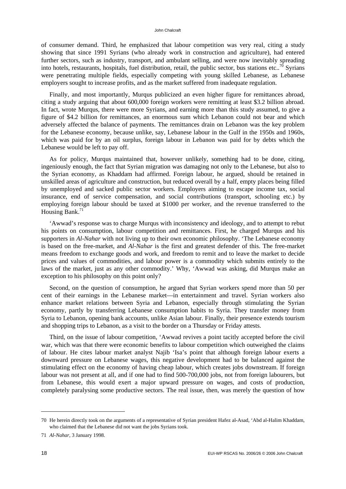of consumer demand. Third, he emphasized that labour competition was very real, citing a study showing that since 1991 Syrians (who already work in construction and agriculture), had entered further sectors, such as industry, transport, and ambulant selling, and were now inevitably spreading into hotels, restaurants, hospitals, fuel distribution, retail, the public sector, bus stations etc..<sup>70</sup> Syrians were penetrating multiple fields, especially competing with young skilled Lebanese, as Lebanese employers sought to increase profits, and as the market suffered from inadequate regulation.

Finally, and most importantly, Murqus publicized an even higher figure for remittances abroad, citing a study arguing that about 600,000 foreign workers were remitting at least \$3.2 billion abroad. In fact, wrote Murqus, there were more Syrians, and earning more than this study assumed, to give a figure of \$4.2 billion for remittances, an enormous sum which Lebanon could not bear and which adversely affected the balance of payments. The remittances drain on Lebanon was the key problem for the Lebanese economy, because unlike, say, Lebanese labour in the Gulf in the 1950s and 1960s, which was paid for by an oil surplus, foreign labour in Lebanon was paid for by debts which the Lebanese would be left to pay off.

As for policy, Murqus maintained that, however unlikely, something had to be done, citing, ingeniously enough, the fact that Syrian migration was damaging not only to the Lebanese, but also to the Syrian economy, as Khaddam had affirmed. Foreign labour, he argued, should be retained in unskilled areas of agriculture and construction, but reduced overall by a half, empty places being filled by unemployed and sacked public sector workers. Employers aiming to escape income tax, social insurance, end of service compensation, and social contributions (transport, schooling etc.) by employing foreign labour should be taxed at \$1000 per worker, and the revenue transferred to the Housing Bank. $71$ 

'Awwad's response was to charge Murqus with inconsistency and ideology, and to attempt to rebut his points on consumption, labour competition and remittances. First, he charged Murqus and his supporters in *Al-Nahar* with not living up to their own economic philosophy. 'The Lebanese economy is based on the free-market, and *Al-Nahar* is the first and greatest defender of this. The free-market means freedom to exchange goods and work, and freedom to remit and to leave the market to decide prices and values of commodities, and labour power is a commodity which submits entirely to the laws of the market, just as any other commodity.' Why, 'Awwad was asking, did Murqus make an exception to his philosophy on this point only?

Second, on the question of consumption, he argued that Syrian workers spend more than 50 per cent of their earnings in the Lebanese market—in entertainment and travel. Syrian workers also enhance market relations between Syria and Lebanon, especially through stimulating the Syrian economy, partly by transferring Lebanese consumption habits to Syria. They transfer money from Syria to Lebanon, opening bank accounts, unlike Asian labour. Finally, their presence extends tourism and shopping trips to Lebanon, as a visit to the border on a Thursday or Friday attests.

Third, on the issue of labour competition, 'Awwad revives a point tacitly accepted before the civil war, which was that there were economic benefits to labour competition which outweighed the claims of labour. He cites labour market analyst Najib 'Isa's point that although foreign labour exerts a downward pressure on Lebanese wages, this negative development had to be balanced against the stimulating effect on the economy of having cheap labour, which creates jobs downstream. If foreign labour was not present at all, and if one had to find 500-700,000 jobs, not from foreign labourers, but from Lebanese, this would exert a major upward pressure on wages, and costs of production, completely paralysing some productive sectors. The real issue, then, was merely the question of how

-

<sup>70</sup> He herein directly took on the arguments of a representative of Syrian president Hafez al-Asad, 'Abd al-Halim Khaddam, who claimed that the Lebanese did not want the jobs Syrians took.

<sup>71</sup> *Al-Nahar,* 3 January 1998.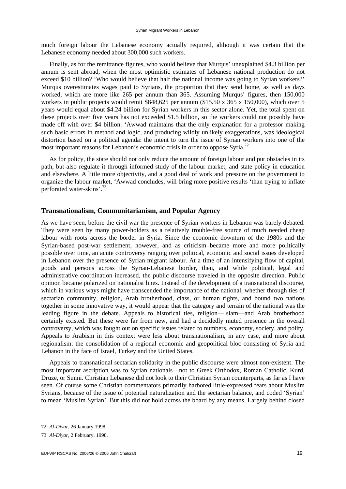much foreign labour the Lebanese economy actually required, although it was certain that the Lebanese economy needed about 300,000 such workers.

Finally, as for the remittance figures, who would believe that Murqus' unexplained \$4.3 billion per annum is sent abroad, when the most optimistic estimates of Lebanese national production do not exceed \$10 billion? 'Who would believe that half the national income was going to Syrian workers?' Murqus overestimates wages paid to Syrians, the proportion that they send home, as well as days worked, which are more like 265 per annum than 365. Assuming Murqus' figures, then 150,000 workers in public projects would remit \$848,625 per annum (\$15.50 x 365 x 150,000), which over 5 years would equal about \$4.24 billion for Syrian workers in this sector alone. Yet, the total spent on these projects over five years has not exceeded \$1.5 billion, so the workers could not possibly have made off with over \$4 billion. 'Awwad maintains that the only explanation for a professor making such basic errors in method and logic, and producing wildly unlikely exaggerations, was ideological distortion based on a political agenda: the intent to turn the issue of Syrian workers into one of the most important reasons for Lebanon's economic crisis in order to oppose Syria.<sup>72</sup>

As for policy, the state should not only reduce the amount of foreign labour and put obstacles in its path, but also regulate it through informed study of the labour market, and state policy in education and elsewhere. A little more objectivity, and a good deal of work and pressure on the government to organize the labour market, 'Awwad concludes, will bring more positive results 'than trying to inflate perforated water-skins'.73

#### **Transnationalism, Communitarianism, and Popular Agency**

As we have seen, before the civil war the presence of Syrian workers in Lebanon was barely debated. They were seen by many power-holders as a relatively trouble-free source of much needed cheap labour with roots across the border in Syria. Since the economic downturn of the 1980s and the Syrian-based post-war settlement, however, and as criticism became more and more politically possible over time, an acute controversy ranging over political, economic and social issues developed in Lebanon over the presence of Syrian migrant labour. At a time of an intensifying flow of capital, goods and persons across the Syrian-Lebanese border, then, and while political, legal and administrative coordination increased, the public discourse traveled in the opposite direction. Public opinion became polarized on nationalist lines. Instead of the development of a transnational discourse, which in various ways might have transcended the importance of the national, whether through ties of sectarian community, religion, Arab brotherhood, class, or human rights, and bound two nations together in some innovative way, it would appear that the category and terrain of the national was the leading figure in the debate. Appeals to historical ties, religion—Islam—and Arab brotherhood certainly existed*.* But these were far from new, and had a decidedly muted presence in the overall controversy, which was fought out on specific issues related to numbers, economy, society, and polity. Appeals to Arabism in this context were less about transnationalism, in any case, and more about regionalism: the consolidation of a regional economic and geopolitical bloc consisting of Syria and Lebanon in the face of Israel, Turkey and the United States.

Appeals to transnational sectarian solidarity in the public discourse were almost non-existent. The most important ascription was to Syrian nationals—not to Greek Orthodox, Roman Catholic, Kurd, Druze, or Sunni. Christian Lebanese did not look to their Christian Syrian counterparts, as far as I have seen. Of course some Christian commentators primarily harbored little-expressed fears about Muslim Syrians, because of the issue of potential naturalization and the sectarian balance, and coded 'Syrian' to mean 'Muslim Syrian'. But this did not hold across the board by any means. Largely behind closed

<sup>72</sup> *Al-Diyar,* 26 January 1998.

<sup>73</sup> *Al-Diyar,* 2 February, 1998.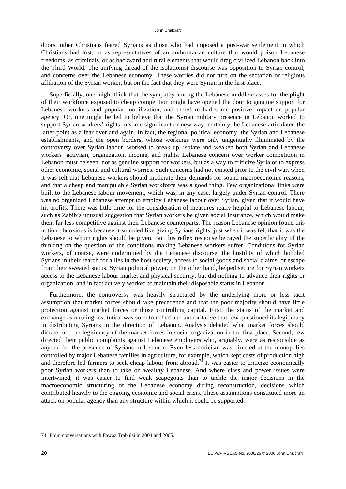#### John Chalcraft

doors, other Christians feared Syrians as those who had imposed a post-war settlement in which Christians had lost, or as representatives of an authoritarian culture that would poison Lebanese freedoms, as criminals, or as backward and rural elements that would drag civilized Lebanon back into the Third World. The unifying thread of the isolationist discourse was opposition to Syrian control, and concerns over the Lebanese economy. These worries did not turn on the sectarian or religious affiliation of the Syrian worker, but on the fact that they were Syrian in the first place.

Superficially, one might think that the sympathy among the Lebanese middle-classes for the plight of their workforce exposed to cheap competition might have opened the door to genuine support for Lebanese workers and popular mobilization, and therefore had some positive impact on popular agency. Or, one might be led to believe that the Syrian military presence in Lebanon worked to support Syrian workers' rights in some significant or new way: certainly the Lebanese articulated the latter point as a fear over and again. In fact, the regional political economy, the Syrian and Lebanese establishments, and the open borders, whose workings were only tangentially illuminated by the controversy over Syrian labour, worked to break up, isolate and weaken both Syrian and Lebanese workers' activism, organization, income, and rights. Lebanese concern over worker competition in Lebanon must be seen, not as genuine support for workers, but as a way to criticize Syria or to express other economic, social and cultural worries. Such concerns had not existed prior to the civil war, when it was felt that Lebanese workers should moderate their demands for sound macroeconomic reasons, and that a cheap and manipulable Syrian workforce was a good thing. Few organizational links were built to the Lebanese labour movement, which was, in any case, largely under Syrian control. There was no organized Lebanese attempt to employ Lebanese labour over Syrian, given that it would have hit profits. There was little time for the consideration of measures really helpful to Lebanese labour, such as Zabib's unusual suggestion that Syrian workers be given social insurance, which would make them far less competitive against their Lebanese counterparts. The reason Lebanese opinion found this notion obnoxious is because it sounded like giving Syrians rights, just when it was felt that it was the Lebanese to whom rights should be given. But this reflex response betrayed the superficiality of the thinking on the question of the conditions making Lebanese workers suffer. Conditions for Syrian workers, of course, were undermined by the Lebanese discourse, the hostility of which hobbled Syrians in their search for allies in the host society, access to social goods and social claims, or escape from their sweated status. Syrian political power, on the other hand, helped secure for Syrian workers access to the Lebanese labour market and physical security, but did nothing to advance their rights or organization, and in fact actively worked to maintain their disposable status in Lebanon.

Furthermore, the controversy was heavily structured by the underlying more or less tacit assumption that market forces should take precedence and that the poor majority should have little protection against market forces or those controlling capital. First, the status of the market and exchange as a ruling institution was so entrenched and authoritative that few questioned its legitimacy in distributing Syrians in the direction of Lebanon. Analysts debated what market forces should dictate, not the legitimacy of the market forces in social organization in the first place. Second, few directed their public complaints against Lebanese employers who, arguably, were as responsible as anyone for the presence of Syrians in Lebanon. Even less criticism was directed at the monopolies controlled by major Lebanese families in agriculture, for example, which kept costs of production high and therefore led farmers to seek cheap labour from abroad.<sup>74</sup> It was easier to criticize economically poor Syrian workers than to take on wealthy Lebanese. And where class and power issues were intertwined, it was easier to find weak scapegoats than to tackle the major decisions in the macroeconomic structuring of the Lebanese economy during reconstruction, decisions which contributed heavily to the ongoing economic and social crisis. These assumptions constituted more an attack on popular agency than any structure within which it could be supported.

<sup>74</sup> From conversations with Fawaz Trabulsi in 2004 and 2005.